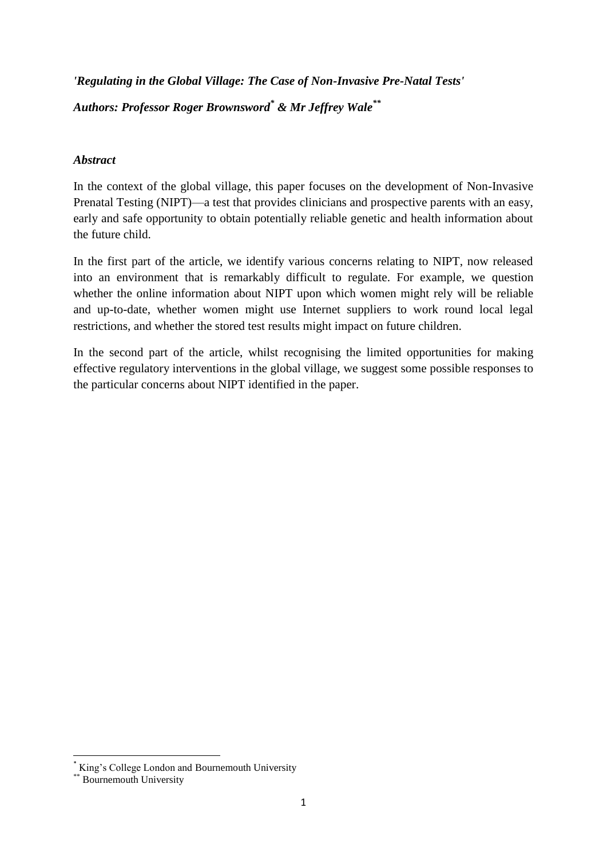*'Regulating in the Global Village: The Case of Non-Invasive Pre-Natal Tests' Authors: Professor Roger Brownsword \* & Mr Jeffrey Wale\*\**

#### *Abstract*

In the context of the global village, this paper focuses on the development of Non-Invasive Prenatal Testing (NIPT)—a test that provides clinicians and prospective parents with an easy, early and safe opportunity to obtain potentially reliable genetic and health information about the future child.

In the first part of the article, we identify various concerns relating to NIPT, now released into an environment that is remarkably difficult to regulate. For example, we question whether the online information about NIPT upon which women might rely will be reliable and up-to-date, whether women might use Internet suppliers to work round local legal restrictions, and whether the stored test results might impact on future children.

In the second part of the article, whilst recognising the limited opportunities for making effective regulatory interventions in the global village, we suggest some possible responses to the particular concerns about NIPT identified in the paper.

**.** 

<sup>\*</sup> King's College London and Bournemouth University

<sup>\*\*</sup> Bournemouth University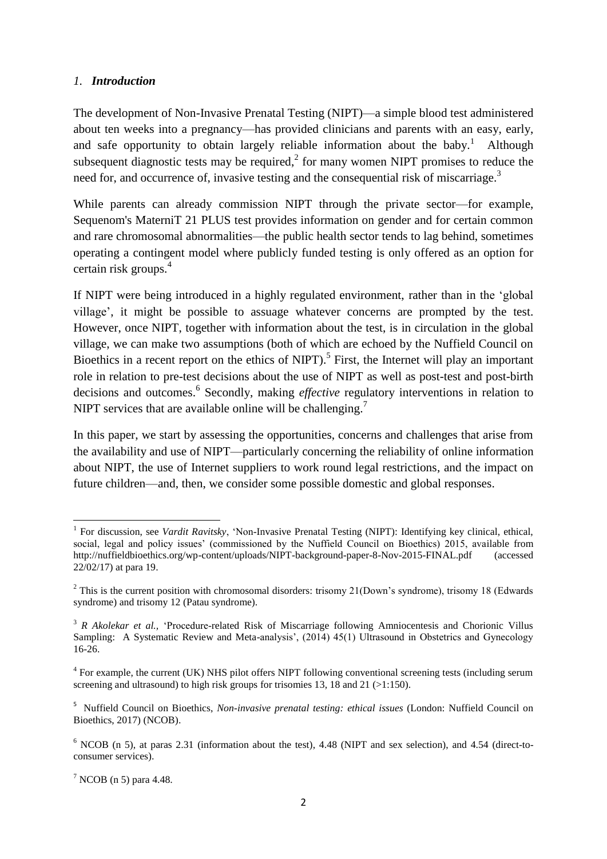#### *1. Introduction*

The development of Non-Invasive Prenatal Testing (NIPT)—a simple blood test administered about ten weeks into a pregnancy—has provided clinicians and parents with an easy, early, and safe opportunity to obtain largely reliable information about the baby.<sup>1</sup> Although subsequent diagnostic tests may be required, $<sup>2</sup>$  for many women NIPT promises to reduce the</sup> need for, and occurrence of, invasive testing and the consequential risk of miscarriage.<sup>3</sup>

While parents can already commission NIPT through the private sector—for example, Sequenom's MaterniT 21 PLUS test provides information on gender and for certain common and rare chromosomal abnormalities—the public health sector tends to lag behind, sometimes operating a contingent model where publicly funded testing is only offered as an option for certain risk groups. 4

If NIPT were being introduced in a highly regulated environment, rather than in the 'global village', it might be possible to assuage whatever concerns are prompted by the test. However, once NIPT, together with information about the test, is in circulation in the global village, we can make two assumptions (both of which are echoed by the Nuffield Council on Bioethics in a recent report on the ethics of NIPT).<sup>5</sup> First, the Internet will play an important role in relation to pre-test decisions about the use of NIPT as well as post-test and post-birth decisions and outcomes. 6 Secondly, making *effective* regulatory interventions in relation to NIPT services that are available online will be challenging.<sup>7</sup>

In this paper, we start by assessing the opportunities, concerns and challenges that arise from the availability and use of NIPT—particularly concerning the reliability of online information about NIPT, the use of Internet suppliers to work round legal restrictions, and the impact on future children—and, then, we consider some possible domestic and global responses.

 1 For discussion, see *Vardit Ravitsky*, 'Non-Invasive Prenatal Testing (NIPT): Identifying key clinical, ethical, social, legal and policy issues' (commissioned by the Nuffield Council on Bioethics) 2015, available from http://nuffieldbioethics.org/wp-content/uploads/NIPT-background-paper-8-Nov-2015-FINAL.pdf (accessed 22/02/17) at para 19.

<sup>&</sup>lt;sup>2</sup> This is the current position with chromosomal disorders: trisomy 21(Down's syndrome), trisomy 18 (Edwards syndrome) and trisomy 12 (Patau syndrome).

<sup>&</sup>lt;sup>3</sup> *R Akolekar et al.*, 'Procedure-related Risk of Miscarriage following Amniocentesis and Chorionic Villus Sampling: A Systematic Review and Meta-analysis', (2014) 45(1) Ultrasound in Obstetrics and Gynecology 16-26.

 $4$  For example, the current (UK) NHS pilot offers NIPT following conventional screening tests (including serum screening and ultrasound) to high risk groups for trisomies 13, 18 and 21 (>1:150).

<sup>5</sup> Nuffield Council on Bioethics, *Non-invasive prenatal testing: ethical issues* (London: Nuffield Council on Bioethics, 2017) (NCOB).

 $6$  NCOB (n 5), at paras 2.31 (information about the test), 4.48 (NIPT and sex selection), and 4.54 (direct-toconsumer services).

 $<sup>7</sup>$  NCOB (n 5) para 4.48.</sup>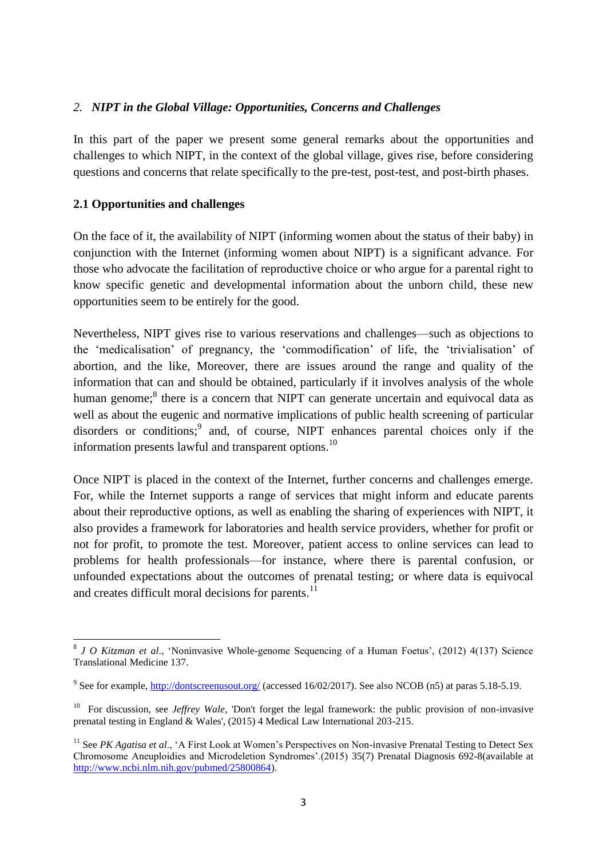### *2. NIPT in the Global Village: Opportunities, Concerns and Challenges*

In this part of the paper we present some general remarks about the opportunities and challenges to which NIPT, in the context of the global village, gives rise, before considering questions and concerns that relate specifically to the pre-test, post-test, and post-birth phases.

## **2.1 Opportunities and challenges**

On the face of it, the availability of NIPT (informing women about the status of their baby) in conjunction with the Internet (informing women about NIPT) is a significant advance. For those who advocate the facilitation of reproductive choice or who argue for a parental right to know specific genetic and developmental information about the unborn child, these new opportunities seem to be entirely for the good.

Nevertheless, NIPT gives rise to various reservations and challenges—such as objections to the 'medicalisation' of pregnancy, the 'commodification' of life, the 'trivialisation' of abortion, and the like, Moreover, there are issues around the range and quality of the information that can and should be obtained, particularly if it involves analysis of the whole human genome;<sup>8</sup> there is a concern that NIPT can generate uncertain and equivocal data as well as about the eugenic and normative implications of public health screening of particular disorders or conditions;<sup>9</sup> and, of course, NIPT enhances parental choices only if the information presents lawful and transparent options.<sup>10</sup>

Once NIPT is placed in the context of the Internet, further concerns and challenges emerge. For, while the Internet supports a range of services that might inform and educate parents about their reproductive options, as well as enabling the sharing of experiences with NIPT, it also provides a framework for laboratories and health service providers, whether for profit or not for profit, to promote the test. Moreover, patient access to online services can lead to problems for health professionals—for instance, where there is parental confusion, or unfounded expectations about the outcomes of prenatal testing; or where data is equivocal and creates difficult moral decisions for parents.<sup>11</sup>

 8 *J O Kitzman et al*., 'Noninvasive Whole-genome Sequencing of a Human Foetus', (2012) 4(137) Science Translational Medicine 137.

<sup>&</sup>lt;sup>9</sup> See for example, <http://dontscreenusout.org/> (accessed 16/02/2017). See also NCOB (n5) at paras 5.18-5.19.

<sup>10</sup> For discussion, see *Jeffrey Wale*, 'Don't forget the legal framework: the public provision of non-invasive prenatal testing in England & Wales', (2015) 4 Medical Law International 203-215.

<sup>&</sup>lt;sup>11</sup> See *PK Agatisa et al.*, 'A First Look at Women's Perspectives on Non-invasive Prenatal Testing to Detect Sex Chromosome Aneuploidies and Microdeletion Syndromes'.(2015) 35(7) Prenatal Diagnosis 692-8(available at [http://www.ncbi.nlm.nih.gov/pubmed/25800864\)](http://www.ncbi.nlm.nih.gov/pubmed/25800864).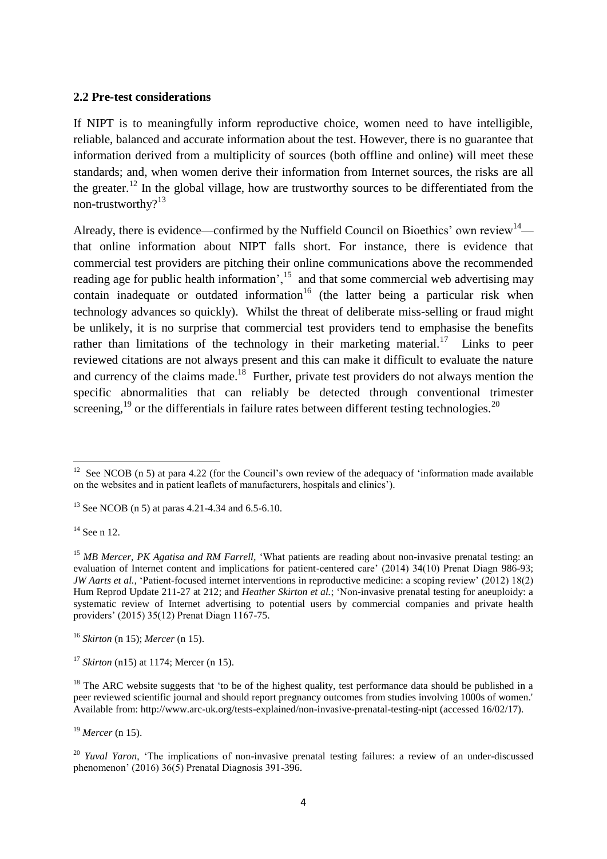#### **2.2 Pre-test considerations**

If NIPT is to meaningfully inform reproductive choice, women need to have intelligible, reliable, balanced and accurate information about the test. However, there is no guarantee that information derived from a multiplicity of sources (both offline and online) will meet these standards; and, when women derive their information from Internet sources, the risks are all the greater.<sup>12</sup> In the global village, how are trustworthy sources to be differentiated from the non-trustworthy?<sup>13</sup>

Already, there is evidence—confirmed by the Nuffield Council on Bioethics' own review<sup>14</sup> that online information about NIPT falls short. For instance, there is evidence that commercial test providers are pitching their online communications above the recommended reading age for public health information', $15$  and that some commercial web advertising may contain inadequate or outdated information<sup>16</sup> (the latter being a particular risk when technology advances so quickly). Whilst the threat of deliberate miss-selling or fraud might be unlikely, it is no surprise that commercial test providers tend to emphasise the benefits rather than limitations of the technology in their marketing material.<sup>17</sup> Links to peer reviewed citations are not always present and this can make it difficult to evaluate the nature and currency of the claims made.<sup>18</sup> Further, private test providers do not always mention the specific abnormalities that can reliably be detected through conventional trimester screening,  $^{19}$  or the differentials in failure rates between different testing technologies.  $^{20}$ 

<sup>14</sup> See n 12.

<sup>16</sup> *Skirton* (n 15); *Mercer* (n 15).

<sup>17</sup> *Skirton* (n15) at 1174; Mercer (n 15).

 $18$  The ARC website suggests that 'to be of the highest quality, test performance data should be published in a peer reviewed scientific journal and should report pregnancy outcomes from studies involving 1000s of women.' Available from: http://www.arc-uk.org/tests-explained/non-invasive-prenatal-testing-nipt (accessed 16/02/17).

<sup>19</sup> *Mercer* (n 15).

<sup>1</sup> <sup>12</sup> See NCOB (n 5) at para 4.22 (for the Council's own review of the adequacy of 'information made available on the websites and in patient leaflets of manufacturers, hospitals and clinics').

<sup>13</sup> See NCOB (n 5) at paras 4.21-4.34 and 6.5-6.10.

<sup>&</sup>lt;sup>15</sup> *MB Mercer, PK Agatisa and RM Farrell,* 'What patients are reading about non-invasive prenatal testing: an evaluation of Internet content and implications for patient-centered care' (2014) 34(10) Prenat Diagn 986-93; *JW Aarts et al.,* 'Patient-focused internet interventions in reproductive medicine: a scoping review' (2012) 18(2) Hum Reprod Update 211-27 at 212; and *Heather Skirton et al.*; 'Non-invasive prenatal testing for aneuploidy: a systematic review of Internet advertising to potential users by commercial companies and private health providers' (2015) 35(12) Prenat Diagn 1167-75.

<sup>20</sup> *Yuval Yaron*, 'The implications of non-invasive prenatal testing failures: a review of an under-discussed phenomenon' (2016) 36(5) Prenatal Diagnosis 391-396.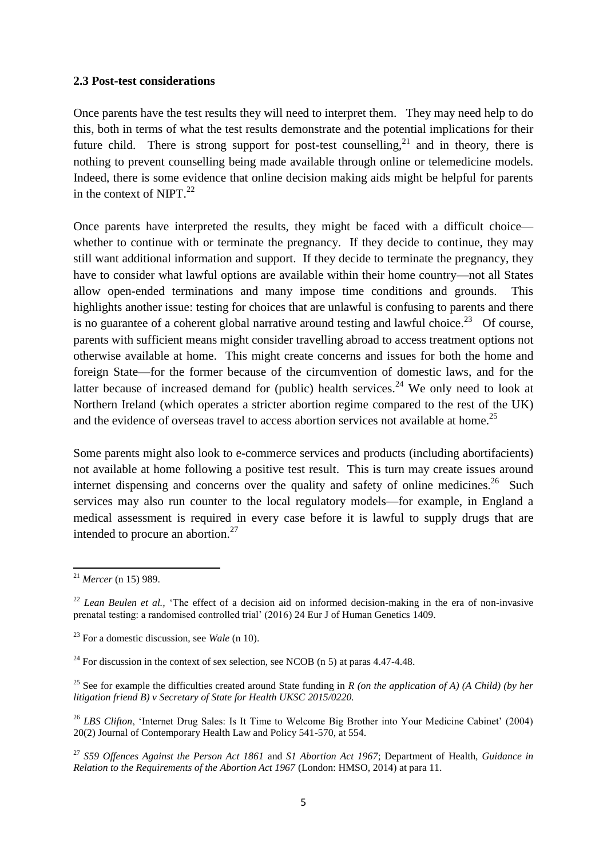#### **2.3 Post-test considerations**

Once parents have the test results they will need to interpret them. They may need help to do this, both in terms of what the test results demonstrate and the potential implications for their future child. There is strong support for post-test counselling,  $2^1$  and in theory, there is nothing to prevent counselling being made available through online or telemedicine models. Indeed, there is some evidence that online decision making aids might be helpful for parents in the context of NIPT. $^{22}$ 

Once parents have interpreted the results, they might be faced with a difficult choice whether to continue with or terminate the pregnancy. If they decide to continue, they may still want additional information and support. If they decide to terminate the pregnancy, they have to consider what lawful options are available within their home country—not all States allow open-ended terminations and many impose time conditions and grounds. This highlights another issue: testing for choices that are unlawful is confusing to parents and there is no guarantee of a coherent global narrative around testing and lawful choice.<sup>23</sup> Of course, parents with sufficient means might consider travelling abroad to access treatment options not otherwise available at home. This might create concerns and issues for both the home and foreign State—for the former because of the circumvention of domestic laws, and for the latter because of increased demand for (public) health services.<sup>24</sup> We only need to look at Northern Ireland (which operates a stricter abortion regime compared to the rest of the UK) and the evidence of overseas travel to access abortion services not available at home.<sup>25</sup>

Some parents might also look to e-commerce services and products (including abortifacients) not available at home following a positive test result. This is turn may create issues around internet dispensing and concerns over the quality and safety of online medicines.<sup>26</sup> Such services may also run counter to the local regulatory models—for example, in England a medical assessment is required in every case before it is lawful to supply drugs that are intended to procure an abortion.<sup>27</sup>

<sup>1</sup> <sup>21</sup> *Mercer* (n 15) 989.

<sup>&</sup>lt;sup>22</sup> *Lean Beulen et al.*, 'The effect of a decision aid on informed decision-making in the era of non-invasive prenatal testing: a randomised controlled trial' (2016) 24 Eur J of Human Genetics 1409.

<sup>23</sup> For a domestic discussion, see *Wale* (n 10).

 $^{24}$  For discussion in the context of sex selection, see NCOB (n 5) at paras 4.47-4.48.

<sup>&</sup>lt;sup>25</sup> See for example the difficulties created around State funding in *R* (on the application of *A*) (*A Child*) (by her *litigation friend B) v Secretary of State for Health UKSC 2015/0220.* 

<sup>26</sup> *LBS Clifton*, 'Internet Drug Sales: Is It Time to Welcome Big Brother into Your Medicine Cabinet' (2004) 20(2) Journal of Contemporary Health Law and Policy 541-570, at 554.

<sup>27</sup> *S59 Offences Against the Person Act 1861* and *S1 Abortion Act 1967*; Department of Health, *Guidance in Relation to the Requirements of the Abortion Act 1967* (London: HMSO, 2014) at para 11.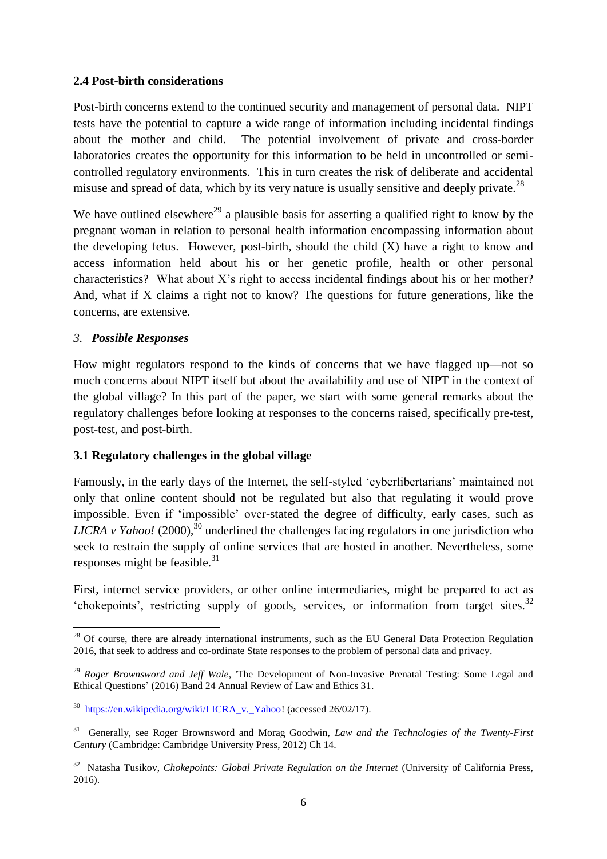#### **2.4 Post-birth considerations**

Post-birth concerns extend to the continued security and management of personal data. NIPT tests have the potential to capture a wide range of information including incidental findings about the mother and child. The potential involvement of private and cross-border laboratories creates the opportunity for this information to be held in uncontrolled or semicontrolled regulatory environments. This in turn creates the risk of deliberate and accidental misuse and spread of data, which by its very nature is usually sensitive and deeply private.<sup>28</sup>

We have outlined elsewhere<sup>29</sup> a plausible basis for asserting a qualified right to know by the pregnant woman in relation to personal health information encompassing information about the developing fetus. However, post-birth, should the child (X) have a right to know and access information held about his or her genetic profile, health or other personal characteristics? What about X's right to access incidental findings about his or her mother? And, what if X claims a right not to know? The questions for future generations, like the concerns, are extensive.

### *3. Possible Responses*

How might regulators respond to the kinds of concerns that we have flagged up—not so much concerns about NIPT itself but about the availability and use of NIPT in the context of the global village? In this part of the paper, we start with some general remarks about the regulatory challenges before looking at responses to the concerns raised, specifically pre-test, post-test, and post-birth.

### **3.1 Regulatory challenges in the global village**

Famously, in the early days of the Internet, the self-styled 'cyberlibertarians' maintained not only that online content should not be regulated but also that regulating it would prove impossible. Even if 'impossible' over-stated the degree of difficulty, early cases, such as *LICRA v Yahoo!* (2000), <sup>30</sup> underlined the challenges facing regulators in one jurisdiction who seek to restrain the supply of online services that are hosted in another. Nevertheless, some responses might be feasible. $31$ 

First, internet service providers, or other online intermediaries, might be prepared to act as 'chokepoints', restricting supply of goods, services, or information from target sites. $32$ 

 $\overline{\phantom{a}}$ <sup>28</sup> Of course, there are already international instruments, such as the EU General Data Protection Regulation 2016, that seek to address and co-ordinate State responses to the problem of personal data and privacy.

<sup>29</sup> *Roger Brownsword and Jeff Wale*, 'The Development of Non-Invasive Prenatal Testing: Some Legal and Ethical Questions' (2016) Band 24 Annual Review of Law and Ethics 31.

<sup>&</sup>lt;sup>30</sup> [https://en.wikipedia.org/wiki/LICRA\\_v.\\_Yahoo!](https://en.wikipedia.org/wiki/LICRA_v._Yahoo) (accessed 26/02/17).

<sup>31</sup> Generally, see Roger Brownsword and Morag Goodwin, *Law and the Technologies of the Twenty-First Century* (Cambridge: Cambridge University Press, 2012) Ch 14.

<sup>&</sup>lt;sup>32</sup> Natasha Tusikov, *Chokepoints: Global Private Regulation on the Internet* (University of California Press, 2016).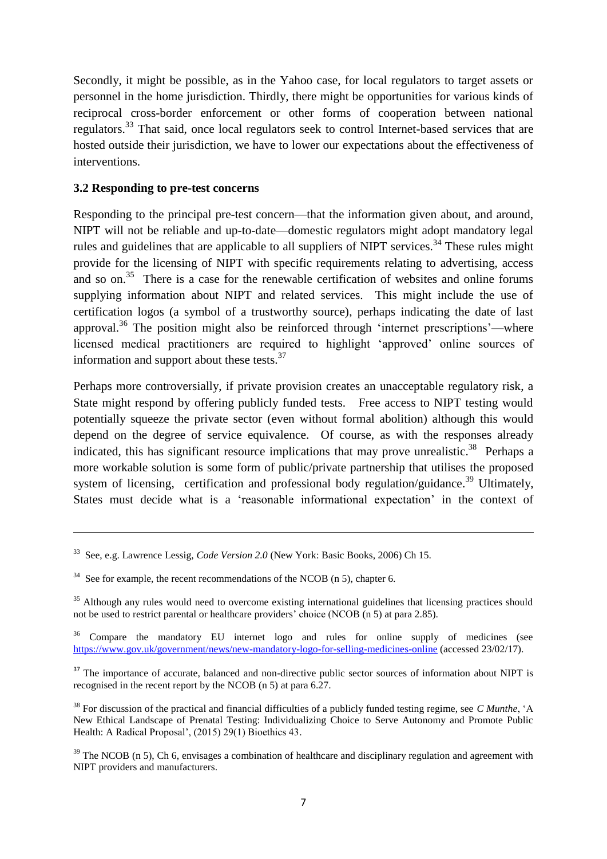Secondly, it might be possible, as in the Yahoo case, for local regulators to target assets or personnel in the home jurisdiction. Thirdly, there might be opportunities for various kinds of reciprocal cross-border enforcement or other forms of cooperation between national regulators.<sup>33</sup> That said, once local regulators seek to control Internet-based services that are hosted outside their jurisdiction, we have to lower our expectations about the effectiveness of interventions.

### **3.2 Responding to pre-test concerns**

1

Responding to the principal pre-test concern—that the information given about, and around, NIPT will not be reliable and up-to-date—domestic regulators might adopt mandatory legal rules and guidelines that are applicable to all suppliers of NIPT services.<sup>34</sup> These rules might provide for the licensing of NIPT with specific requirements relating to advertising, access and so on.<sup>35</sup> There is a case for the renewable certification of websites and online forums supplying information about NIPT and related services. This might include the use of certification logos (a symbol of a trustworthy source), perhaps indicating the date of last approval.<sup>36</sup> The position might also be reinforced through 'internet prescriptions'—where licensed medical practitioners are required to highlight 'approved' online sources of information and support about these tests. $37$ 

Perhaps more controversially, if private provision creates an unacceptable regulatory risk, a State might respond by offering publicly funded tests. Free access to NIPT testing would potentially squeeze the private sector (even without formal abolition) although this would depend on the degree of service equivalence. Of course, as with the responses already indicated, this has significant resource implications that may prove unrealistic.<sup>38</sup> Perhaps a more workable solution is some form of public/private partnership that utilises the proposed system of licensing, certification and professional body regulation/guidance.<sup>39</sup> Ultimately, States must decide what is a 'reasonable informational expectation' in the context of

<sup>33</sup> See, e.g. Lawrence Lessig, *Code Version 2.0* (New York: Basic Books, 2006) Ch 15.

 $34$  See for example, the recent recommendations of the NCOB (n 5), chapter 6.

<sup>&</sup>lt;sup>35</sup> Although any rules would need to overcome existing international guidelines that licensing practices should not be used to restrict parental or healthcare providers' choice (NCOB (n 5) at para 2.85).

<sup>&</sup>lt;sup>36</sup> Compare the mandatory EU internet logo and rules for online supply of medicines (see <https://www.gov.uk/government/news/new-mandatory-logo-for-selling-medicines-online> (accessed 23/02/17).

<sup>&</sup>lt;sup>37</sup> The importance of accurate, balanced and non-directive public sector sources of information about NIPT is recognised in the recent report by the NCOB (n 5) at para 6.27.

<sup>38</sup> For discussion of the practical and financial difficulties of a publicly funded testing regime, see *C Munthe*, 'A New Ethical Landscape of Prenatal Testing: Individualizing Choice to Serve Autonomy and Promote Public Health: A Radical Proposal', (2015) 29(1) Bioethics 43.

 $39$  The NCOB (n 5), Ch 6, envisages a combination of healthcare and disciplinary regulation and agreement with NIPT providers and manufacturers.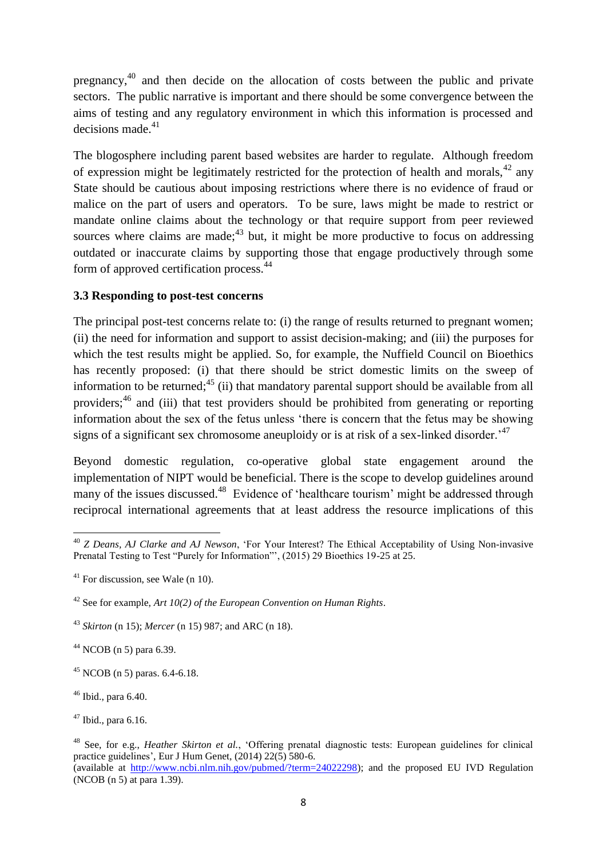pregnancy,<sup>40</sup> and then decide on the allocation of costs between the public and private sectors. The public narrative is important and there should be some convergence between the aims of testing and any regulatory environment in which this information is processed and decisions made. $41$ 

The blogosphere including parent based websites are harder to regulate. Although freedom of expression might be legitimately restricted for the protection of health and morals,  $42$  any State should be cautious about imposing restrictions where there is no evidence of fraud or malice on the part of users and operators. To be sure, laws might be made to restrict or mandate online claims about the technology or that require support from peer reviewed sources where claims are made; $^{43}$  but, it might be more productive to focus on addressing outdated or inaccurate claims by supporting those that engage productively through some form of approved certification process.<sup>44</sup>

#### **3.3 Responding to post-test concerns**

The principal post-test concerns relate to: (i) the range of results returned to pregnant women; (ii) the need for information and support to assist decision-making; and (iii) the purposes for which the test results might be applied. So, for example, the Nuffield Council on Bioethics has recently proposed: (i) that there should be strict domestic limits on the sweep of information to be returned; $45$  (ii) that mandatory parental support should be available from all providers;<sup>46</sup> and (iii) that test providers should be prohibited from generating or reporting information about the sex of the fetus unless 'there is concern that the fetus may be showing signs of a significant sex chromosome aneuploidy or is at risk of a sex-linked disorder.<sup>47</sup>

Beyond domestic regulation, co-operative global state engagement around the implementation of NIPT would be beneficial. There is the scope to develop guidelines around many of the issues discussed.<sup>48</sup> Evidence of 'healthcare tourism' might be addressed through reciprocal international agreements that at least address the resource implications of this

<sup>1</sup> <sup>40</sup> *Z Deans, AJ Clarke and AJ Newson*, 'For Your Interest? The Ethical Acceptability of Using Non-invasive Prenatal Testing to Test "Purely for Information"', (2015) 29 Bioethics 19-25 at 25.

 $41$  For discussion, see Wale (n 10).

<sup>42</sup> See for example, *Art 10(2) of the European Convention on Human Rights*.

<sup>43</sup> *Skirton* (n 15); *Mercer* (n 15) 987; and ARC (n 18).

 $44$  NCOB (n 5) para 6.39.

 $45$  NCOB (n 5) paras. 6.4-6.18.

 $46$  Ibid., para 6.40.

 $47$  Ibid., para 6.16.

<sup>48</sup> See, for e.g., *Heather Skirton et al.*, 'Offering prenatal diagnostic tests: European guidelines for clinical practice guidelines', Eur J Hum Genet, (2014) 22(5) 580-6. (available at [http://www.ncbi.nlm.nih.gov/pubmed/?term=24022298\)](http://www.ncbi.nlm.nih.gov/pubmed/?term=24022298); and the proposed EU IVD Regulation (NCOB (n 5) at para 1.39).